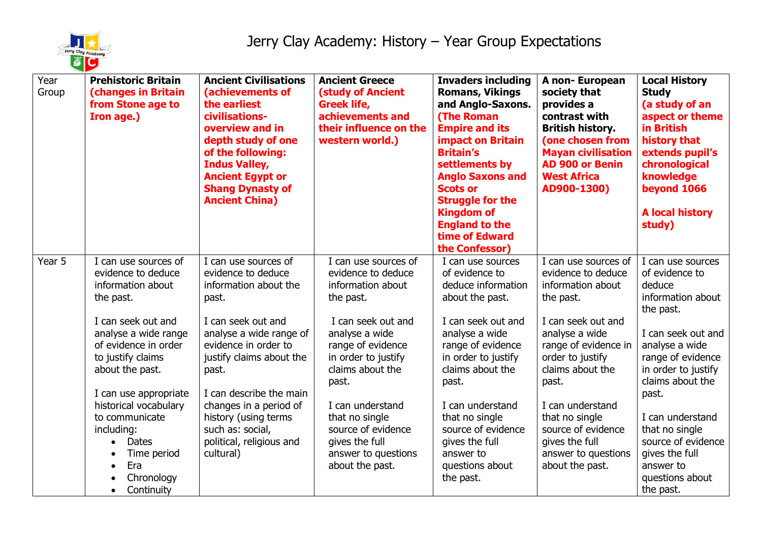

| Year<br>Group | <b>Prehistoric Britain</b><br><b>(changes in Britain</b><br>from Stone age to<br>Iron age.)                                                                                                                                                                                                                        | <b>Ancient Civilisations</b><br>(achievements of<br>the earliest<br>civilisations-<br>overview and in<br>depth study of one<br>of the following:<br><b>Indus Valley,</b><br><b>Ancient Egypt or</b><br><b>Shang Dynasty of</b><br><b>Ancient China)</b> | <b>Ancient Greece</b><br><b>(study of Ancient</b><br><b>Greek life,</b><br>achievements and<br>their influence on the<br>western world.)                                                                                              | <b>Invaders including</b><br><b>Romans, Vikings</b><br>and Anglo-Saxons.<br><b>(The Roman</b><br><b>Empire and its</b><br><b>impact on Britain</b><br><b>Britain's</b><br>settlements by<br><b>Anglo Saxons and</b><br><b>Scots or</b><br><b>Struggle for the</b><br><b>Kingdom of</b><br><b>England to the</b><br>time of Edward<br>the Confessor) | A non- European<br>society that<br>provides a<br>contrast with<br><b>British history.</b><br>(one chosen from<br><b>Mayan civilisation</b><br><b>AD 900 or Benin</b><br><b>West Africa</b><br>AD900-1300)                             | <b>Local History</b><br><b>Study</b><br>(a study of an<br>aspect or theme<br>in British<br>history that<br>extends pupil's<br>chronological<br>knowledge<br>beyond 1066<br><b>A local history</b><br>study)                              |
|---------------|--------------------------------------------------------------------------------------------------------------------------------------------------------------------------------------------------------------------------------------------------------------------------------------------------------------------|---------------------------------------------------------------------------------------------------------------------------------------------------------------------------------------------------------------------------------------------------------|---------------------------------------------------------------------------------------------------------------------------------------------------------------------------------------------------------------------------------------|-----------------------------------------------------------------------------------------------------------------------------------------------------------------------------------------------------------------------------------------------------------------------------------------------------------------------------------------------------|---------------------------------------------------------------------------------------------------------------------------------------------------------------------------------------------------------------------------------------|------------------------------------------------------------------------------------------------------------------------------------------------------------------------------------------------------------------------------------------|
| Year 5        | I can use sources of<br>evidence to deduce<br>information about<br>the past.                                                                                                                                                                                                                                       | I can use sources of<br>evidence to deduce<br>information about the<br>past.                                                                                                                                                                            | I can use sources of<br>evidence to deduce<br>information about<br>the past.                                                                                                                                                          | I can use sources<br>of evidence to<br>deduce information<br>about the past.                                                                                                                                                                                                                                                                        | I can use sources of<br>evidence to deduce<br>information about<br>the past.                                                                                                                                                          | I can use sources<br>of evidence to<br>deduce<br>information about<br>the past.                                                                                                                                                          |
|               | I can seek out and<br>analyse a wide range<br>of evidence in order<br>to justify claims<br>about the past.<br>I can use appropriate<br>historical vocabulary<br>to communicate<br>including:<br><b>Dates</b><br>$\bullet$<br>Time period<br>$\bullet$<br>Era<br>$\bullet$<br>Chronology<br>Continuity<br>$\bullet$ | I can seek out and<br>analyse a wide range of<br>evidence in order to<br>justify claims about the<br>past.<br>I can describe the main<br>changes in a period of<br>history (using terms<br>such as: social,<br>political, religious and<br>cultural)    | I can seek out and<br>analyse a wide<br>range of evidence<br>in order to justify<br>claims about the<br>past.<br>I can understand<br>that no single<br>source of evidence<br>gives the full<br>answer to questions<br>about the past. | I can seek out and<br>analyse a wide<br>range of evidence<br>in order to justify<br>claims about the<br>past.<br>I can understand<br>that no single<br>source of evidence<br>gives the full<br>answer to<br>questions about<br>the past.                                                                                                            | I can seek out and<br>analyse a wide<br>range of evidence in<br>order to justify<br>claims about the<br>past.<br>I can understand<br>that no single<br>source of evidence<br>gives the full<br>answer to questions<br>about the past. | I can seek out and<br>analyse a wide<br>range of evidence<br>in order to justify<br>claims about the<br>past.<br>I can understand<br>that no single<br>source of evidence<br>gives the full<br>answer to<br>questions about<br>the past. |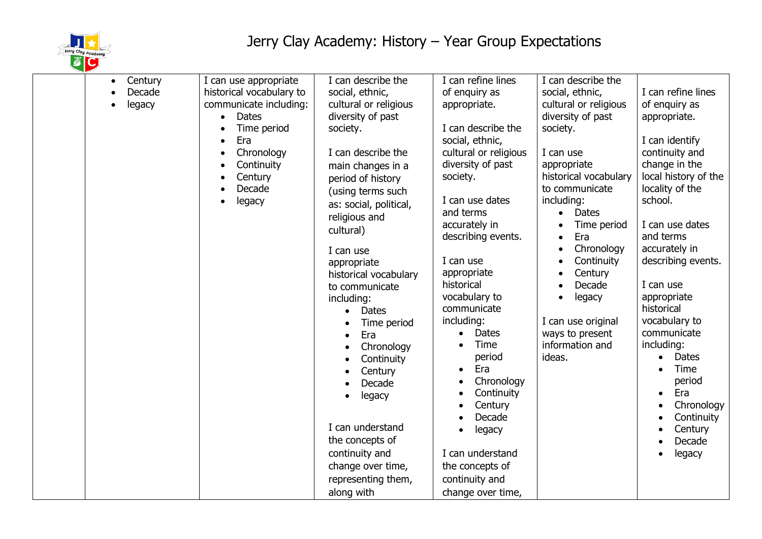

| Century<br>$\bullet$<br>Decade<br>legacy | I can use appropriate<br>historical vocabulary to<br>communicate including:<br><b>Dates</b><br>Time period<br>Era<br>Chronology<br>Continuity<br>Century<br>Decade<br>legacy | I can describe the<br>social, ethnic,<br>cultural or religious<br>diversity of past<br>society.<br>I can describe the<br>main changes in a<br>period of history<br>(using terms such<br>as: social, political,<br>religious and<br>cultural)<br>I can use<br>appropriate<br>historical vocabulary<br>to communicate<br>including:<br><b>Dates</b><br>Time period<br>Era<br>Chronology<br>Continuity<br>Century<br>Decade<br>legacy<br>I can understand<br>the concepts of<br>continuity and<br>change over time,<br>representing them, | I can refine lines<br>of enquiry as<br>appropriate.<br>I can describe the<br>social, ethnic,<br>cultural or religious<br>diversity of past<br>society.<br>I can use dates<br>and terms<br>accurately in<br>describing events.<br>I can use<br>appropriate<br>historical<br>vocabulary to<br>communicate<br>including:<br>Dates<br>$\bullet$<br>Time<br>period<br>Era<br>$\bullet$<br>Chronology<br>$\bullet$<br>Continuity<br>$\bullet$<br>Century<br>$\bullet$<br>Decade<br>legacy<br>$\bullet$<br>I can understand<br>the concepts of<br>continuity and | I can describe the<br>social, ethnic,<br>cultural or religious<br>diversity of past<br>society.<br>I can use<br>appropriate<br>historical vocabulary<br>to communicate<br>including:<br><b>Dates</b><br>Time period<br>Era<br>Chronology<br>Continuity<br>Century<br>Decade<br>legacy<br>I can use original<br>ways to present<br>information and<br>ideas. | I can refine lines<br>of enquiry as<br>appropriate.<br>I can identify<br>continuity and<br>change in the<br>local history of the<br>locality of the<br>school.<br>I can use dates<br>and terms<br>accurately in<br>describing events.<br>I can use<br>appropriate<br>historical<br>vocabulary to<br>communicate<br>including:<br><b>Dates</b><br>$\bullet$<br>Time<br>period<br>Era<br>$\bullet$<br>Chronology<br>Continuity<br>Century<br>Decade<br>legacy |
|------------------------------------------|------------------------------------------------------------------------------------------------------------------------------------------------------------------------------|----------------------------------------------------------------------------------------------------------------------------------------------------------------------------------------------------------------------------------------------------------------------------------------------------------------------------------------------------------------------------------------------------------------------------------------------------------------------------------------------------------------------------------------|-----------------------------------------------------------------------------------------------------------------------------------------------------------------------------------------------------------------------------------------------------------------------------------------------------------------------------------------------------------------------------------------------------------------------------------------------------------------------------------------------------------------------------------------------------------|-------------------------------------------------------------------------------------------------------------------------------------------------------------------------------------------------------------------------------------------------------------------------------------------------------------------------------------------------------------|-------------------------------------------------------------------------------------------------------------------------------------------------------------------------------------------------------------------------------------------------------------------------------------------------------------------------------------------------------------------------------------------------------------------------------------------------------------|
|                                          |                                                                                                                                                                              | along with                                                                                                                                                                                                                                                                                                                                                                                                                                                                                                                             | change over time,                                                                                                                                                                                                                                                                                                                                                                                                                                                                                                                                         |                                                                                                                                                                                                                                                                                                                                                             |                                                                                                                                                                                                                                                                                                                                                                                                                                                             |
|                                          |                                                                                                                                                                              |                                                                                                                                                                                                                                                                                                                                                                                                                                                                                                                                        |                                                                                                                                                                                                                                                                                                                                                                                                                                                                                                                                                           |                                                                                                                                                                                                                                                                                                                                                             |                                                                                                                                                                                                                                                                                                                                                                                                                                                             |